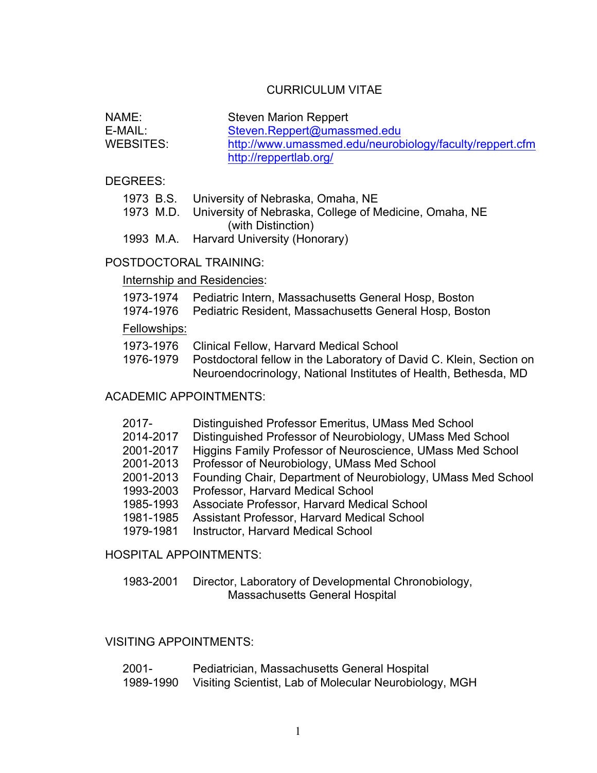# CURRICULUM VITAE

| NAME:     | Steven Marion Reppert                                    |
|-----------|----------------------------------------------------------|
| E-MAIL:   | Steven.Reppert@umassmed.edu                              |
| WEBSITES: | http://www.umassmed.edu/neurobiology/faculty/reppert.cfm |
|           | http://reppertlab.org/                                   |

DEGREES:

| 1973 B.S. | University of Nebraska, Omaha, NE |  |
|-----------|-----------------------------------|--|
|-----------|-----------------------------------|--|

- 1973 M.D. University of Nebraska, College of Medicine, Omaha, NE (with Distinction)
- 1993 M.A. Harvard University (Honorary)

#### POSTDOCTORAL TRAINING:

#### Internship and Residencies:

|  | 1973-1974 Pediatric Intern, Massachusetts General Hosp, Boston |  |  |  |
|--|----------------------------------------------------------------|--|--|--|
|--|----------------------------------------------------------------|--|--|--|

1974-1976 Pediatric Resident, Massachusetts General Hosp, Boston

#### Fellowships:

| 1973-1976 Clinical Fellow, Harvard Medical School                      |
|------------------------------------------------------------------------|
| یا _O این نم D کم بسمانه سازم از مطلبون برنمالوگرامونو اسلام ملوانه مر |

1976-1979 Postdoctoral fellow in the Laboratory of David C. Klein, Section on Neuroendocrinology, National Institutes of Health, Bethesda, MD

# ACADEMIC APPOINTMENTS:

| 2017-     | Distinguished Professor Emeritus, UMass Med School           |
|-----------|--------------------------------------------------------------|
| 2014-2017 | Distinguished Professor of Neurobiology, UMass Med School    |
| 2001-2017 | Higgins Family Professor of Neuroscience, UMass Med School   |
| 2001-2013 | Professor of Neurobiology, UMass Med School                  |
| 2001-2013 | Founding Chair, Department of Neurobiology, UMass Med School |
| 1993-2003 | Professor, Harvard Medical School                            |
| 1985-1993 | Associate Professor, Harvard Medical School                  |
| 1981-1985 | Assistant Professor, Harvard Medical School                  |
| 1979-1981 | <b>Instructor, Harvard Medical School</b>                    |

HOSPITAL APPOINTMENTS:

1983-2001 Director, Laboratory of Developmental Chronobiology, Massachusetts General Hospital

# VISITING APPOINTMENTS:

| 2001-     | Pediatrician, Massachusetts General Hospital           |
|-----------|--------------------------------------------------------|
| 1989-1990 | Visiting Scientist, Lab of Molecular Neurobiology, MGH |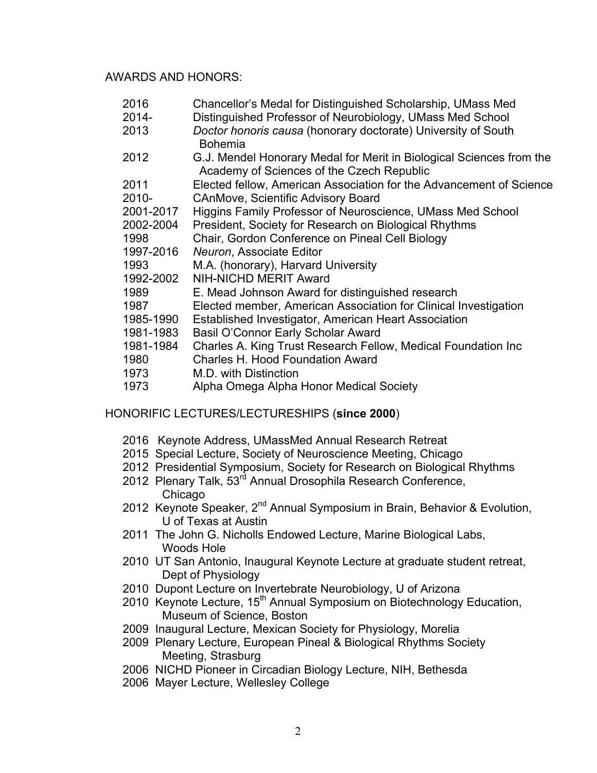#### AWARDS AND HONORS:

- 2016 Chancellor's Medal for Distinguished Scholarship, UMass Med
- 2014- Distinguished Professor of Neurobiology, UMass Med School
- 2013 *Doctor honoris causa* (honorary doctorate) University of South Bohemia
- 2012 G.J. Mendel Honorary Medal for Merit in Biological Sciences from the Academy of Sciences of the Czech Republic
- 2011 Elected fellow, American Association for the Advancement of Science 2010- CAnMove, Scientific Advisory Board
- 2001-2017 Higgins Family Professor of Neuroscience, UMass Med School
- 2002-2004 President, Society for Research on Biological Rhythms
- 1998 Chair, Gordon Conference on Pineal Cell Biology
- 1997-2016 *Neuron*, Associate Editor
- 1993 M.A. (honorary), Harvard University
- 1992-2002 NIH-NICHD MERIT Award
- 1989 E. Mead Johnson Award for distinguished research
- 1987 Elected member, American Association for Clinical Investigation
- 1985-1990 Established Investigator, American Heart Association
- 1981-1983 Basil O'Connor Early Scholar Award
- 1981-1984 Charles A. King Trust Research Fellow, Medical Foundation Inc
- 1980 Charles H. Hood Foundation Award
- 1973 M.D. with Distinction
- 1973 Alpha Omega Alpha Honor Medical Society

## HONORIFIC LECTURES/LECTURESHIPS (**since 2000**)

- 2016 Keynote Address, UMassMed Annual Research Retreat
- 2015 Special Lecture, Society of Neuroscience Meeting, Chicago
- 2012 Presidential Symposium, Society for Research on Biological Rhythms
- 2012 Plenary Talk, 53<sup>rd</sup> Annual Drosophila Research Conference, Chicago
- 2012 Keynote Speaker, 2<sup>nd</sup> Annual Symposium in Brain, Behavior & Evolution, U of Texas at Austin
- 2011 The John G. Nicholls Endowed Lecture, Marine Biological Labs, Woods Hole
- 2010 UT San Antonio, Inaugural Keynote Lecture at graduate student retreat, Dept of Physiology
- 2010 Dupont Lecture on Invertebrate Neurobiology, U of Arizona
- 2010 Keynote Lecture, 15<sup>th</sup> Annual Symposium on Biotechnology Education, Museum of Science, Boston
- 2009 Inaugural Lecture, Mexican Society for Physiology, Morelia
- 2009 Plenary Lecture, European Pineal & Biological Rhythms Society Meeting, Strasburg
- 2006 NICHD Pioneer in Circadian Biology Lecture, NIH, Bethesda
- 2006 Mayer Lecture, Wellesley College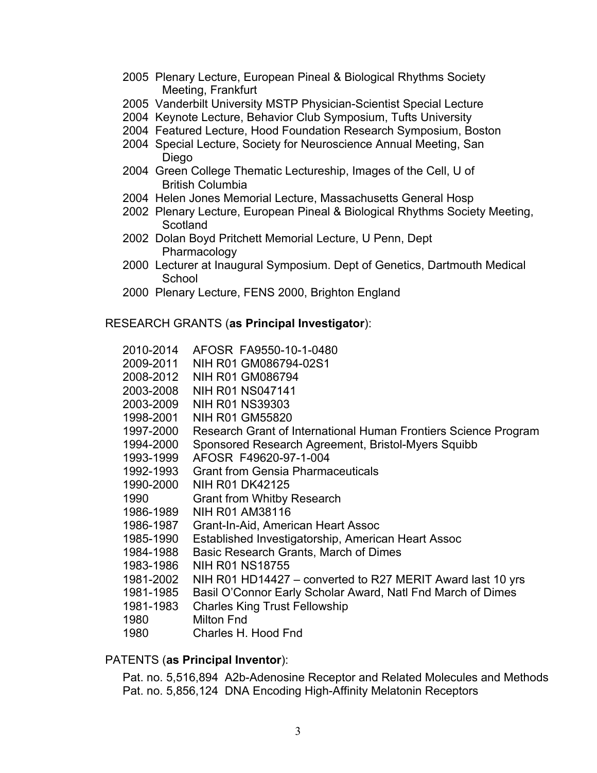- 2005 Plenary Lecture, European Pineal & Biological Rhythms Society Meeting, Frankfurt
- 2005 Vanderbilt University MSTP Physician-Scientist Special Lecture
- 2004 Keynote Lecture, Behavior Club Symposium, Tufts University
- 2004 Featured Lecture, Hood Foundation Research Symposium, Boston
- 2004 Special Lecture, Society for Neuroscience Annual Meeting, San Diego
- 2004 Green College Thematic Lectureship, Images of the Cell, U of British Columbia
- 2004 Helen Jones Memorial Lecture, Massachusetts General Hosp
- 2002 Plenary Lecture, European Pineal & Biological Rhythms Society Meeting, **Scotland**
- 2002 Dolan Boyd Pritchett Memorial Lecture, U Penn, Dept Pharmacology
- 2000 Lecturer at Inaugural Symposium. Dept of Genetics, Dartmouth Medical **School**
- 2000 Plenary Lecture, FENS 2000, Brighton England

#### RESEARCH GRANTS (**as Principal Investigator**):

| 2010-2014 | AFOSR FA9550-10-1-0480                                          |
|-----------|-----------------------------------------------------------------|
| 2009-2011 | NIH R01 GM086794-02S1                                           |
| 2008-2012 | NIH R01 GM086794                                                |
| 2003-2008 | <b>NIH R01 NS047141</b>                                         |
| 2003-2009 | <b>NIH R01 NS39303</b>                                          |
| 1998-2001 | <b>NIH R01 GM55820</b>                                          |
| 1997-2000 | Research Grant of International Human Frontiers Science Program |
| 1994-2000 | Sponsored Research Agreement, Bristol-Myers Squibb              |
| 1993-1999 | AFOSR F49620-97-1-004                                           |
| 1992-1993 | <b>Grant from Gensia Pharmaceuticals</b>                        |
| 1990-2000 | <b>NIH R01 DK42125</b>                                          |
| 1990      | <b>Grant from Whitby Research</b>                               |
| 1986-1989 | NIH R01 AM38116                                                 |
| 1986-1987 | Grant-In-Aid, American Heart Assoc                              |
| 1985-1990 | Established Investigatorship, American Heart Assoc              |
| 1984-1988 | Basic Research Grants, March of Dimes                           |
| 1983-1986 | <b>NIH R01 NS18755</b>                                          |
| 1981-2002 | NIH R01 HD14427 – converted to R27 MERIT Award last 10 yrs      |
| 1981-1985 | Basil O'Connor Early Scholar Award, Natl Fnd March of Dimes     |
| 1981-1983 | <b>Charles King Trust Fellowship</b>                            |
| 1980      | <b>Milton Fnd</b>                                               |
| 1980      | Charles H. Hood Fnd                                             |

#### PATENTS (**as Principal Inventor**):

Pat. no. 5,516,894 A2b-Adenosine Receptor and Related Molecules and Methods Pat. no. 5,856,124 DNA Encoding High-Affinity Melatonin Receptors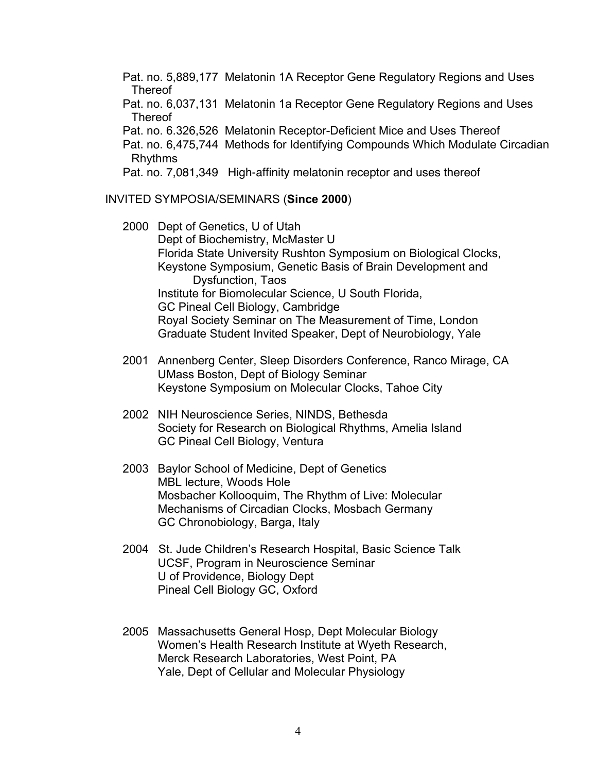Pat. no. 5,889,177 Melatonin 1A Receptor Gene Regulatory Regions and Uses Thereof

Pat. no. 6,037,131 Melatonin 1a Receptor Gene Regulatory Regions and Uses **Thereof** 

Pat. no. 6.326,526 Melatonin Receptor-Deficient Mice and Uses Thereof

Pat. no. 6,475,744 Methods for Identifying Compounds Which Modulate Circadian Rhythms

Pat. no. 7,081,349 High-affinity melatonin receptor and uses thereof

## INVITED SYMPOSIA/SEMINARS (**Since 2000**)

2000 Dept of Genetics, U of Utah Dept of Biochemistry, McMaster U Florida State University Rushton Symposium on Biological Clocks, Keystone Symposium, Genetic Basis of Brain Development and Dysfunction, Taos Institute for Biomolecular Science, U South Florida, GC Pineal Cell Biology, Cambridge Royal Society Seminar on The Measurement of Time, London Graduate Student Invited Speaker, Dept of Neurobiology, Yale

- 2001 Annenberg Center, Sleep Disorders Conference, Ranco Mirage, CA UMass Boston, Dept of Biology Seminar Keystone Symposium on Molecular Clocks, Tahoe City
- 2002 NIH Neuroscience Series, NINDS, Bethesda Society for Research on Biological Rhythms, Amelia Island GC Pineal Cell Biology, Ventura
- 2003 Baylor School of Medicine, Dept of Genetics MBL lecture, Woods Hole Mosbacher Kollooquim, The Rhythm of Live: Molecular Mechanisms of Circadian Clocks, Mosbach Germany GC Chronobiology, Barga, Italy
- 2004 St. Jude Children's Research Hospital, Basic Science Talk UCSF, Program in Neuroscience Seminar U of Providence, Biology Dept Pineal Cell Biology GC, Oxford
- 2005 Massachusetts General Hosp, Dept Molecular Biology Women's Health Research Institute at Wyeth Research, Merck Research Laboratories, West Point, PA Yale, Dept of Cellular and Molecular Physiology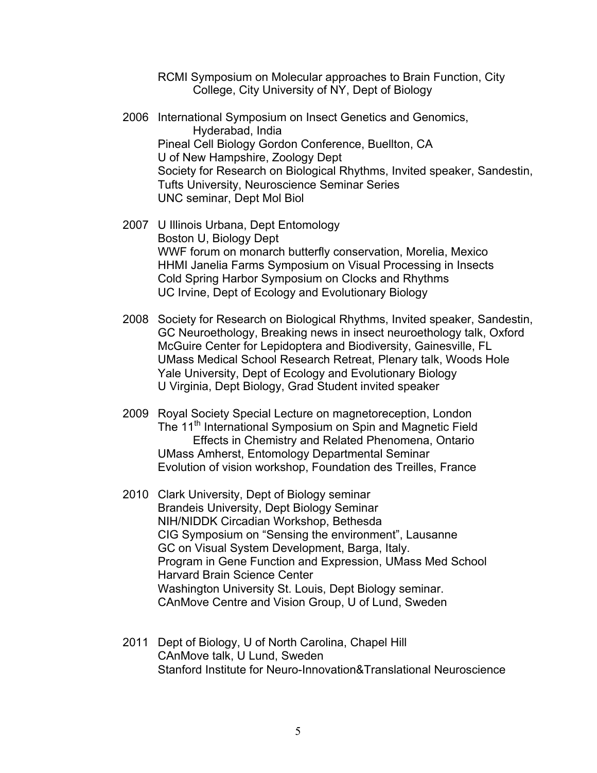RCMI Symposium on Molecular approaches to Brain Function, City College, City University of NY, Dept of Biology

- 2006 International Symposium on Insect Genetics and Genomics, Hyderabad, India Pineal Cell Biology Gordon Conference, Buellton, CA U of New Hampshire, Zoology Dept Society for Research on Biological Rhythms, Invited speaker, Sandestin, Tufts University, Neuroscience Seminar Series UNC seminar, Dept Mol Biol
- 2007 U Illinois Urbana, Dept Entomology Boston U, Biology Dept WWF forum on monarch butterfly conservation, Morelia, Mexico HHMI Janelia Farms Symposium on Visual Processing in Insects Cold Spring Harbor Symposium on Clocks and Rhythms UC Irvine, Dept of Ecology and Evolutionary Biology
- 2008 Society for Research on Biological Rhythms, Invited speaker, Sandestin, GC Neuroethology, Breaking news in insect neuroethology talk, Oxford McGuire Center for Lepidoptera and Biodiversity, Gainesville, FL UMass Medical School Research Retreat, Plenary talk, Woods Hole Yale University, Dept of Ecology and Evolutionary Biology U Virginia, Dept Biology, Grad Student invited speaker
- 2009 Royal Society Special Lecture on magnetoreception, London The 11<sup>th</sup> International Symposium on Spin and Magnetic Field Effects in Chemistry and Related Phenomena, Ontario UMass Amherst, Entomology Departmental Seminar Evolution of vision workshop, Foundation des Treilles, France
- 2010 Clark University, Dept of Biology seminar Brandeis University, Dept Biology Seminar NIH/NIDDK Circadian Workshop, Bethesda CIG Symposium on "Sensing the environment", Lausanne GC on Visual System Development, Barga, Italy. Program in Gene Function and Expression, UMass Med School Harvard Brain Science Center Washington University St. Louis, Dept Biology seminar. CAnMove Centre and Vision Group, U of Lund, Sweden
- 2011 Dept of Biology, U of North Carolina, Chapel Hill CAnMove talk, U Lund, Sweden Stanford Institute for Neuro-Innovation&Translational Neuroscience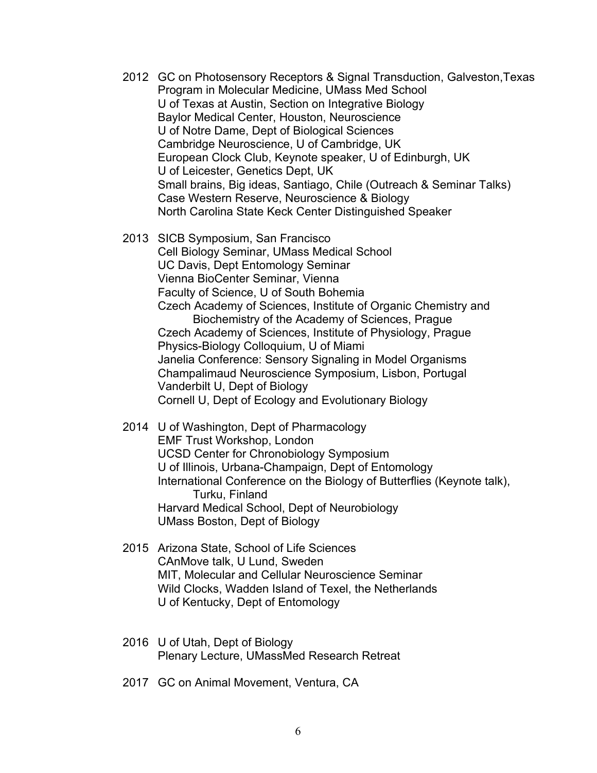- 2012 GC on Photosensory Receptors & Signal Transduction, Galveston,Texas Program in Molecular Medicine, UMass Med School U of Texas at Austin, Section on Integrative Biology Baylor Medical Center, Houston, Neuroscience U of Notre Dame, Dept of Biological Sciences Cambridge Neuroscience, U of Cambridge, UK European Clock Club, Keynote speaker, U of Edinburgh, UK U of Leicester, Genetics Dept, UK Small brains, Big ideas, Santiago, Chile (Outreach & Seminar Talks) Case Western Reserve, Neuroscience & Biology North Carolina State Keck Center Distinguished Speaker
- 2013 SICB Symposium, San Francisco Cell Biology Seminar, UMass Medical School UC Davis, Dept Entomology Seminar Vienna BioCenter Seminar, Vienna Faculty of Science, U of South Bohemia Czech Academy of Sciences, Institute of Organic Chemistry and Biochemistry of the Academy of Sciences, Prague Czech Academy of Sciences, Institute of Physiology, Prague Physics-Biology Colloquium, U of Miami Janelia Conference: Sensory Signaling in Model Organisms Champalimaud Neuroscience Symposium, Lisbon, Portugal Vanderbilt U, Dept of Biology Cornell U, Dept of Ecology and Evolutionary Biology
- 2014 U of Washington, Dept of Pharmacology EMF Trust Workshop, London UCSD Center for Chronobiology Symposium U of Illinois, Urbana-Champaign, Dept of Entomology International Conference on the Biology of Butterflies (Keynote talk), Turku, Finland Harvard Medical School, Dept of Neurobiology UMass Boston, Dept of Biology
- 2015 Arizona State, School of Life Sciences CAnMove talk, U Lund, Sweden MIT, Molecular and Cellular Neuroscience Seminar Wild Clocks, Wadden Island of Texel, the Netherlands U of Kentucky, Dept of Entomology
- 2016 U of Utah, Dept of Biology Plenary Lecture, UMassMed Research Retreat
- 2017 GC on Animal Movement, Ventura, CA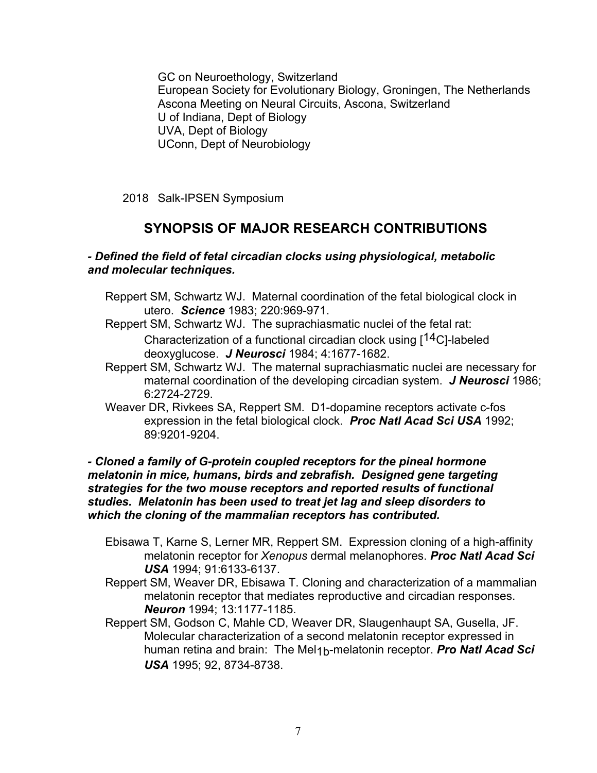GC on Neuroethology, Switzerland European Society for Evolutionary Biology, Groningen, The Netherlands Ascona Meeting on Neural Circuits, Ascona, Switzerland U of Indiana, Dept of Biology UVA, Dept of Biology UConn, Dept of Neurobiology

2018 Salk-IPSEN Symposium

# **SYNOPSIS OF MAJOR RESEARCH CONTRIBUTIONS**

#### *- Defined the field of fetal circadian clocks using physiological, metabolic and molecular techniques.*

- Reppert SM, Schwartz WJ. Maternal coordination of the fetal biological clock in utero. *Science* 1983; 220:969-971.
- Reppert SM, Schwartz WJ. The suprachiasmatic nuclei of the fetal rat: Characterization of a functional circadian clock using [14C]-labeled deoxyglucose. *J Neurosci* 1984; 4:1677-1682.
- Reppert SM, Schwartz WJ. The maternal suprachiasmatic nuclei are necessary for maternal coordination of the developing circadian system. *J Neurosci* 1986; 6:2724-2729.
- Weaver DR, Rivkees SA, Reppert SM. D1-dopamine receptors activate c-fos expression in the fetal biological clock. *Proc Natl Acad Sci USA* 1992; 89:9201-9204.

*- Cloned a family of G-protein coupled receptors for the pineal hormone melatonin in mice, humans, birds and zebrafish. Designed gene targeting strategies for the two mouse receptors and reported results of functional studies. Melatonin has been used to treat jet lag and sleep disorders to which the cloning of the mammalian receptors has contributed.*

- Ebisawa T, Karne S, Lerner MR, Reppert SM. Expression cloning of a high-affinity melatonin receptor for *Xenopus* dermal melanophores. *Proc Natl Acad Sci USA* 1994; 91:6133-6137.
- Reppert SM, Weaver DR, Ebisawa T. Cloning and characterization of a mammalian melatonin receptor that mediates reproductive and circadian responses. *Neuron* 1994; 13:1177-1185.
- Reppert SM, Godson C, Mahle CD, Weaver DR, Slaugenhaupt SA, Gusella, JF. Molecular characterization of a second melatonin receptor expressed in human retina and brain: The Mel1b-melatonin receptor. *Pro Natl Acad Sci USA* 1995; 92, 8734-8738.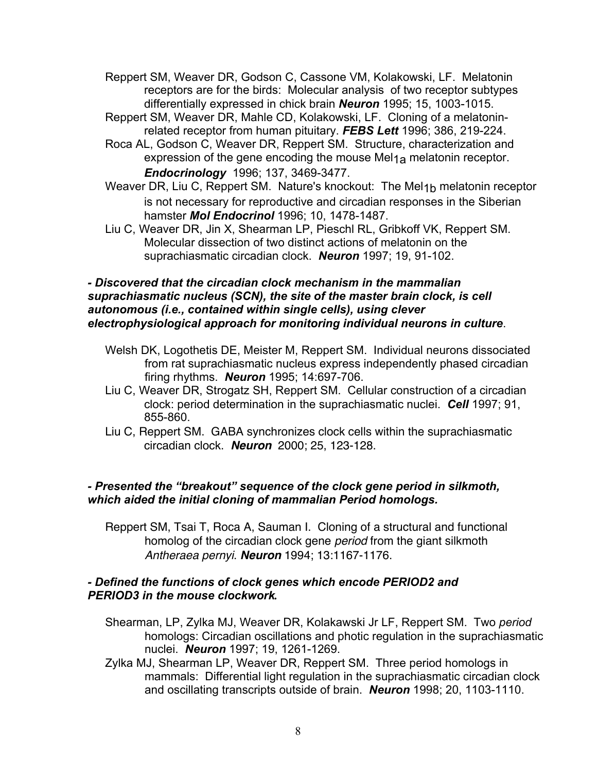- Reppert SM, Weaver DR, Godson C, Cassone VM, Kolakowski, LF. Melatonin receptors are for the birds: Molecular analysis of two receptor subtypes differentially expressed in chick brain *Neuron* 1995; 15, 1003-1015.
- Reppert SM, Weaver DR, Mahle CD, Kolakowski, LF. Cloning of a melatoninrelated receptor from human pituitary. *FEBS Lett* 1996; 386, 219-224.
- Roca AL, Godson C, Weaver DR, Reppert SM. Structure, characterization and expression of the gene encoding the mouse Mel<sub>1a</sub> melatonin receptor. *Endocrinology* 1996; 137, 3469-3477.
- Weaver DR, Liu C, Reppert SM. Nature's knockout: The Mel<sub>1b</sub> melatonin receptor is not necessary for reproductive and circadian responses in the Siberian hamster *Mol Endocrinol* 1996; 10, 1478-1487.
- Liu C, Weaver DR, Jin X, Shearman LP, Pieschl RL, Gribkoff VK, Reppert SM. Molecular dissection of two distinct actions of melatonin on the suprachiasmatic circadian clock. *Neuron* 1997; 19, 91-102.

#### *- Discovered that the circadian clock mechanism in the mammalian suprachiasmatic nucleus (SCN), the site of the master brain clock, is cell autonomous (i.e., contained within single cells), using clever electrophysiological approach for monitoring individual neurons in culture*.

- Welsh DK, Logothetis DE, Meister M, Reppert SM. Individual neurons dissociated from rat suprachiasmatic nucleus express independently phased circadian firing rhythms. *Neuron* 1995; 14:697-706.
- Liu C, Weaver DR, Strogatz SH, Reppert SM. Cellular construction of a circadian clock: period determination in the suprachiasmatic nuclei. *Cell* 1997; 91, 855-860.
- Liu C, Reppert SM. GABA synchronizes clock cells within the suprachiasmatic circadian clock. *Neuron* 2000; 25, 123-128.

# *- Presented the "breakout" sequence of the clock gene period in silkmoth, which aided the initial cloning of mammalian Period homologs.*

Reppert SM, Tsai T, Roca A, Sauman I. Cloning of a structural and functional homolog of the circadian clock gene *period* from the giant silkmoth *Antheraea pernyi*. *Neuron* 1994; 13:1167-1176.

# *- Defined the functions of clock genes which encode PERIOD2 and PERIOD3 in the mouse clockwork.*

- Shearman, LP, Zylka MJ, Weaver DR, Kolakawski Jr LF, Reppert SM. Two *period* homologs: Circadian oscillations and photic regulation in the suprachiasmatic nuclei. *Neuron* 1997; 19, 1261-1269.
- Zylka MJ, Shearman LP, Weaver DR, Reppert SM. Three period homologs in mammals: Differential light regulation in the suprachiasmatic circadian clock and oscillating transcripts outside of brain. *Neuron* 1998; 20, 1103-1110.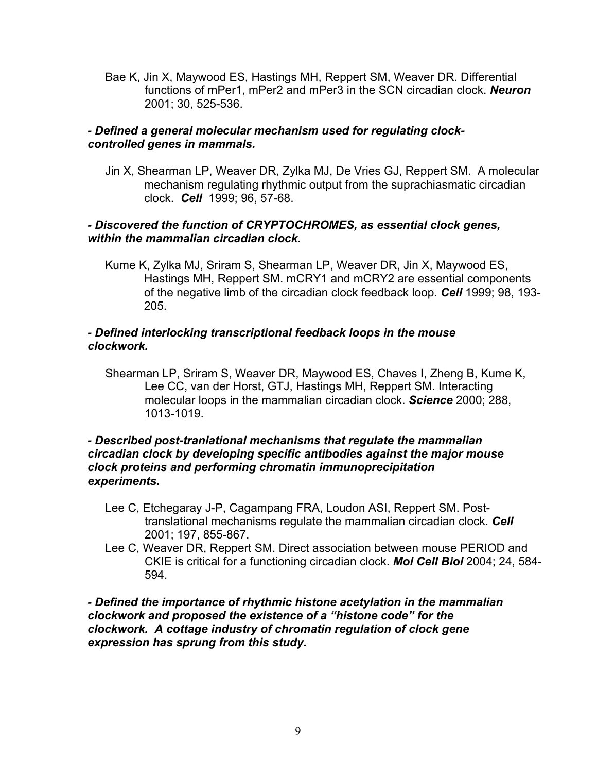Bae K, Jin X, Maywood ES, Hastings MH, Reppert SM, Weaver DR. Differential functions of mPer1, mPer2 and mPer3 in the SCN circadian clock. *Neuron* 2001; 30, 525-536.

## *- Defined a general molecular mechanism used for regulating clockcontrolled genes in mammals.*

Jin X, Shearman LP, Weaver DR, Zylka MJ, De Vries GJ, Reppert SM. A molecular mechanism regulating rhythmic output from the suprachiasmatic circadian clock. *Cell* 1999; 96, 57-68.

# *- Discovered the function of CRYPTOCHROMES, as essential clock genes, within the mammalian circadian clock.*

Kume K, Zylka MJ, Sriram S, Shearman LP, Weaver DR, Jin X, Maywood ES, Hastings MH, Reppert SM. mCRY1 and mCRY2 are essential components of the negative limb of the circadian clock feedback loop. *Cell* 1999; 98, 193- 205.

# *- Defined interlocking transcriptional feedback loops in the mouse clockwork.*

Shearman LP, Sriram S, Weaver DR, Maywood ES, Chaves I, Zheng B, Kume K, Lee CC, van der Horst, GTJ, Hastings MH, Reppert SM. Interacting molecular loops in the mammalian circadian clock. *Science* 2000; 288, 1013-1019.

#### *- Described post-tranlational mechanisms that regulate the mammalian circadian clock by developing specific antibodies against the major mouse clock proteins and performing chromatin immunoprecipitation experiments.*

- Lee C, Etchegaray J-P, Cagampang FRA, Loudon ASI, Reppert SM. Posttranslational mechanisms regulate the mammalian circadian clock. *Cell* 2001; 197, 855-867.
- Lee C, Weaver DR, Reppert SM. Direct association between mouse PERIOD and CKIE is critical for a functioning circadian clock. *Mol Cell Biol* 2004; 24, 584- 594.

*- Defined the importance of rhythmic histone acetylation in the mammalian clockwork and proposed the existence of a "histone code" for the clockwork. A cottage industry of chromatin regulation of clock gene expression has sprung from this study.*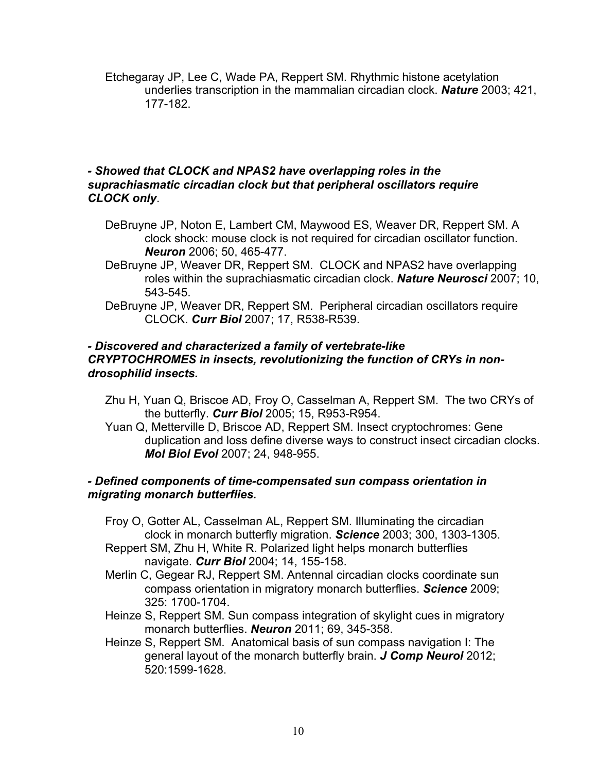Etchegaray JP, Lee C, Wade PA, Reppert SM. Rhythmic histone acetylation underlies transcription in the mammalian circadian clock. *Nature* 2003; 421, 177-182.

#### *- Showed that CLOCK and NPAS2 have overlapping roles in the suprachiasmatic circadian clock but that peripheral oscillators require CLOCK only*.

- DeBruyne JP, Noton E, Lambert CM, Maywood ES, Weaver DR, Reppert SM. A clock shock: mouse clock is not required for circadian oscillator function. *Neuron* 2006; 50, 465-477.
- DeBruyne JP, Weaver DR, Reppert SM. CLOCK and NPAS2 have overlapping roles within the suprachiasmatic circadian clock. *Nature Neurosci* 2007; 10, 543-545.
- DeBruyne JP, Weaver DR, Reppert SM. Peripheral circadian oscillators require CLOCK. *Curr Biol* 2007; 17, R538-R539.

## *- Discovered and characterized a family of vertebrate-like CRYPTOCHROMES in insects, revolutionizing the function of CRYs in nondrosophilid insects.*

- Zhu H, Yuan Q, Briscoe AD, Froy O, Casselman A, Reppert SM. The two CRYs of the butterfly. *Curr Biol* 2005; 15, R953-R954.
- Yuan Q, Metterville D, Briscoe AD, Reppert SM. Insect cryptochromes: Gene duplication and loss define diverse ways to construct insect circadian clocks. *Mol Biol Evol* 2007; 24, 948-955.

## *- Defined components of time-compensated sun compass orientation in migrating monarch butterflies.*

- Froy O, Gotter AL, Casselman AL, Reppert SM. Illuminating the circadian clock in monarch butterfly migration. *Science* 2003; 300, 1303-1305.
- Reppert SM, Zhu H, White R. Polarized light helps monarch butterflies navigate. *Curr Biol* 2004; 14, 155-158.
- Merlin C, Gegear RJ, Reppert SM. Antennal circadian clocks coordinate sun compass orientation in migratory monarch butterflies. *Science* 2009; 325: 1700-1704.
- Heinze S, Reppert SM. Sun compass integration of skylight cues in migratory monarch butterflies. *Neuron* 2011; 69, 345-358.
- Heinze S, Reppert SM. Anatomical basis of sun compass navigation I: The general layout of the monarch butterfly brain. *J Comp Neurol* 2012; 520:1599-1628.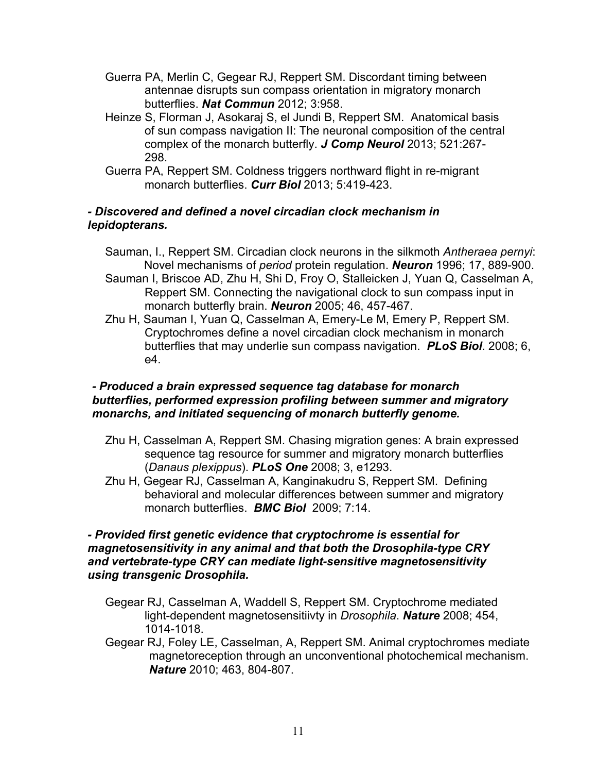- Guerra PA, Merlin C, Gegear RJ, Reppert SM. Discordant timing between antennae disrupts sun compass orientation in migratory monarch butterflies. *Nat Commun* 2012; 3:958.
- Heinze S, Florman J, Asokaraj S, el Jundi B, Reppert SM. Anatomical basis of sun compass navigation II: The neuronal composition of the central complex of the monarch butterfly. *J Comp Neurol* 2013; 521:267- 298.
- Guerra PA, Reppert SM. Coldness triggers northward flight in re-migrant monarch butterflies. *Curr Biol* 2013; 5:419-423.

## *- Discovered and defined a novel circadian clock mechanism in lepidopterans.*

- Sauman, I., Reppert SM. Circadian clock neurons in the silkmoth *Antheraea pernyi*: Novel mechanisms of *period* protein regulation. *Neuron* 1996; 17, 889-900.
- Sauman I, Briscoe AD, Zhu H, Shi D, Froy O, Stalleicken J, Yuan Q, Casselman A, Reppert SM. Connecting the navigational clock to sun compass input in monarch butterfly brain. *Neuron* 2005; 46, 457-467.
- Zhu H, Sauman I, Yuan Q, Casselman A, Emery-Le M, Emery P, Reppert SM. Cryptochromes define a novel circadian clock mechanism in monarch butterflies that may underlie sun compass navigation. *PLoS Biol*. 2008; 6, e4.

## *- Produced a brain expressed sequence tag database for monarch butterflies, performed expression profiling between summer and migratory monarchs, and initiated sequencing of monarch butterfly genome.*

- Zhu H, Casselman A, Reppert SM. Chasing migration genes: A brain expressed sequence tag resource for summer and migratory monarch butterflies (*Danaus plexippus*). *PLoS One* 2008; 3, e1293.
- Zhu H, Gegear RJ, Casselman A, Kanginakudru S, Reppert SM. Defining behavioral and molecular differences between summer and migratory monarch butterflies. *BMC Biol* 2009; 7:14.

# *- Provided first genetic evidence that cryptochrome is essential for magnetosensitivity in any animal and that both the Drosophila-type CRY and vertebrate-type CRY can mediate light-sensitive magnetosensitivity using transgenic Drosophila.*

- Gegear RJ, Casselman A, Waddell S, Reppert SM. Cryptochrome mediated light-dependent magnetosensitiivty in *Drosophila*. *Nature* 2008; 454, 1014-1018.
- Gegear RJ, Foley LE, Casselman, A, Reppert SM. Animal cryptochromes mediate magnetoreception through an unconventional photochemical mechanism. *Nature* 2010; 463, 804-807.